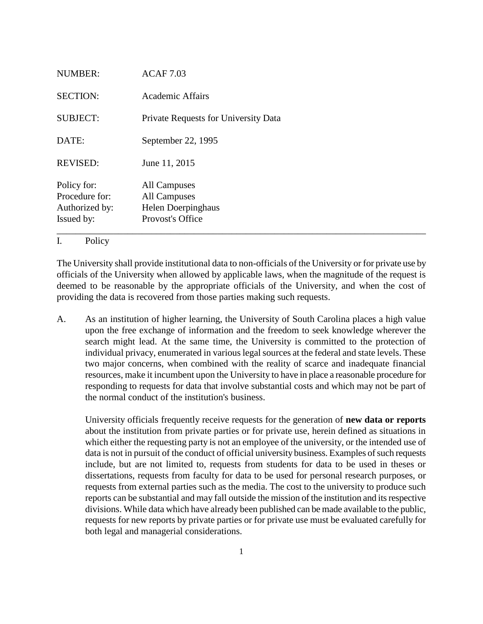| <b>NUMBER:</b>                                                | <b>ACAF 7.03</b>                                                       |
|---------------------------------------------------------------|------------------------------------------------------------------------|
| <b>SECTION:</b>                                               | <b>Academic Affairs</b>                                                |
| <b>SUBJECT:</b>                                               | Private Requests for University Data                                   |
| DATE:                                                         | September 22, 1995                                                     |
| <b>REVISED:</b>                                               | June 11, 2015                                                          |
| Policy for:<br>Procedure for:<br>Authorized by:<br>Issued by: | All Campuses<br>All Campuses<br>Helen Doerpinghaus<br>Provost's Office |

## I. Policy

The University shall provide institutional data to non-officials of the University or for private use by officials of the University when allowed by applicable laws, when the magnitude of the request is deemed to be reasonable by the appropriate officials of the University, and when the cost of providing the data is recovered from those parties making such requests.

A. As an institution of higher learning, the University of South Carolina places a high value upon the free exchange of information and the freedom to seek knowledge wherever the search might lead. At the same time, the University is committed to the protection of individual privacy, enumerated in various legal sources at the federal and state levels. These two major concerns, when combined with the reality of scarce and inadequate financial resources, make it incumbent upon the University to have in place a reasonable procedure for responding to requests for data that involve substantial costs and which may not be part of the normal conduct of the institution's business.

University officials frequently receive requests for the generation of **new data or reports**  about the institution from private parties or for private use, herein defined as situations in which either the requesting party is not an employee of the university, or the intended use of data is not in pursuit of the conduct of official university business. Examples of such requests include, but are not limited to, requests from students for data to be used in theses or dissertations, requests from faculty for data to be used for personal research purposes, or requests from external parties such as the media. The cost to the university to produce such reports can be substantial and may fall outside the mission of the institution and its respective divisions. While data which have already been published can be made available to the public, requests for new reports by private parties or for private use must be evaluated carefully for both legal and managerial considerations.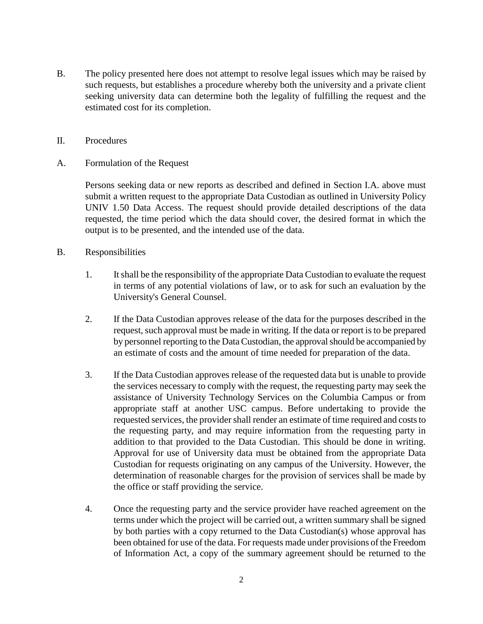- B. The policy presented here does not attempt to resolve legal issues which may be raised by such requests, but establishes a procedure whereby both the university and a private client seeking university data can determine both the legality of fulfilling the request and the estimated cost for its completion.
- II. Procedures
- A. Formulation of the Request

Persons seeking data or new reports as described and defined in Section I.A. above must submit a written request to the appropriate Data Custodian as outlined in University Policy UNIV 1.50 Data Access. The request should provide detailed descriptions of the data requested, the time period which the data should cover, the desired format in which the output is to be presented, and the intended use of the data.

- B. Responsibilities
	- 1. It shall be the responsibility of the appropriate Data Custodian to evaluate the request in terms of any potential violations of law, or to ask for such an evaluation by the University's General Counsel.
	- 2. If the Data Custodian approves release of the data for the purposes described in the request, such approval must be made in writing. If the data or report is to be prepared by personnel reporting to the Data Custodian, the approval should be accompanied by an estimate of costs and the amount of time needed for preparation of the data.
	- 3. If the Data Custodian approves release of the requested data but is unable to provide the services necessary to comply with the request, the requesting party may seek the assistance of University Technology Services on the Columbia Campus or from appropriate staff at another USC campus. Before undertaking to provide the requested services, the provider shall render an estimate of time required and costs to the requesting party, and may require information from the requesting party in addition to that provided to the Data Custodian. This should be done in writing. Approval for use of University data must be obtained from the appropriate Data Custodian for requests originating on any campus of the University. However, the determination of reasonable charges for the provision of services shall be made by the office or staff providing the service.
	- 4. Once the requesting party and the service provider have reached agreement on the terms under which the project will be carried out, a written summary shall be signed by both parties with a copy returned to the Data Custodian(s) whose approval has been obtained for use of the data. For requests made under provisions of the Freedom of Information Act, a copy of the summary agreement should be returned to the